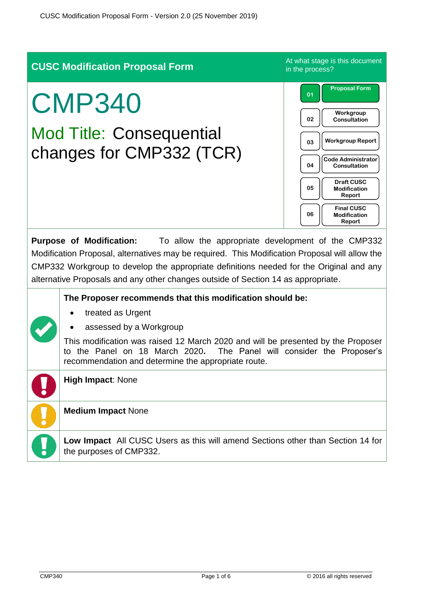| <b>CUSC Modification Proposal Form</b>                                                                                                                                                                                                                                                                                                                             | At what stage is this document<br>in the process?                                                                                                                                                                                                                         |  |  |
|--------------------------------------------------------------------------------------------------------------------------------------------------------------------------------------------------------------------------------------------------------------------------------------------------------------------------------------------------------------------|---------------------------------------------------------------------------------------------------------------------------------------------------------------------------------------------------------------------------------------------------------------------------|--|--|
| <b>CMP340</b><br><b>Mod Title: Consequential</b><br>changes for CMP332 (TCR)<br><b>Purpose of Modification:</b><br>To allow the appropriate development of the CMP332<br>Modification Proposal, alternatives may be required. This Modification Proposal will allow the<br>CMP332 Workgroup to develop the appropriate definitions needed for the Original and any | <b>Proposal Form</b><br>01<br>Workgroup<br>02<br>Consultation<br><b>Workgroup Report</b><br>03<br><b>Code Administrator</b><br>04<br>Consultation<br><b>Draft CUSC</b><br>05<br><b>Modification</b><br>Report<br><b>Final CUSC</b><br>06<br><b>Modification</b><br>Report |  |  |
| alternative Proposals and any other changes outside of Section 14 as appropriate.<br>The Proposer recommends that this modification should be:<br>treated as Urgent                                                                                                                                                                                                |                                                                                                                                                                                                                                                                           |  |  |
| assessed by a Workgroup<br>This modification was raised 12 March 2020 and will be presented by the Proposer<br>to the Panel on 18 March 2020. The Panel will consider the Proposer's<br>recommendation and determine the appropriate route.                                                                                                                        |                                                                                                                                                                                                                                                                           |  |  |
| <b>High Impact: None</b>                                                                                                                                                                                                                                                                                                                                           |                                                                                                                                                                                                                                                                           |  |  |

# **Medium Impact** None

**Low Impact** All CUSC Users as this will amend Sections other than Section 14 for the purposes of CMP332.

ā

ō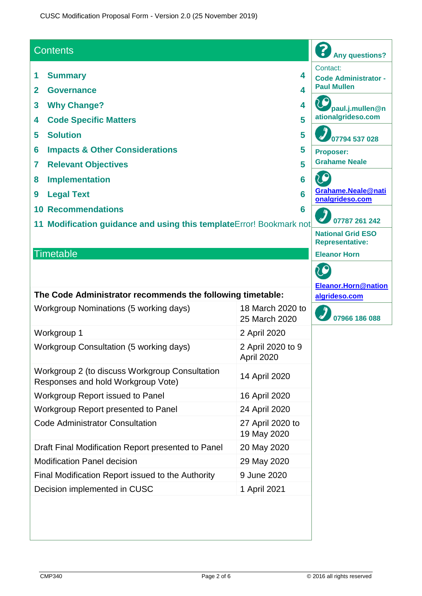| <b>Contents</b>                                                                      | <b>Any questions?</b>                 |                                                               |
|--------------------------------------------------------------------------------------|---------------------------------------|---------------------------------------------------------------|
| 1<br><b>Summary</b><br>4<br>$\overline{2}$<br><b>Governance</b><br>4                 |                                       | Contact:<br><b>Code Administrator -</b><br><b>Paul Mullen</b> |
| 3<br><b>Why Change?</b><br><b>Code Specific Matters</b><br>4                         | paul.j.mullen@n<br>ationalgrideso.com |                                                               |
| 5<br><b>Solution</b>                                                                 | 07794 537 028                         |                                                               |
| <b>Impacts &amp; Other Considerations</b><br>6                                       | <b>Proposer:</b>                      |                                                               |
| <b>Relevant Objectives</b><br>7                                                      | <b>Grahame Neale</b>                  |                                                               |
| <b>Implementation</b><br>8<br><b>Legal Text</b><br>9                                 | Grahame.Neale@nati<br>onalgrideso.com |                                                               |
| <b>Recommendations</b><br>10                                                         | 07787 261 242                         |                                                               |
| Modification guidance and using this template Error! Bookmark not<br>11              |                                       | <b>National Grid ESO</b><br><b>Representative:</b>            |
| <b>Timetable</b>                                                                     | <b>Eleanor Horn</b>                   |                                                               |
|                                                                                      | <b>10</b>                             |                                                               |
|                                                                                      | <b>Eleanor.Horn@nation</b>            |                                                               |
| The Code Administrator recommends the following timetable:                           |                                       | algrideso.com                                                 |
| Workgroup Nominations (5 working days)                                               | 18 March 2020 to<br>25 March 2020     | 07966 186 088                                                 |
| Workgroup 1                                                                          | 2 April 2020                          |                                                               |
| Workgroup Consultation (5 working days)                                              | 2 April 2020 to 9<br>April 2020       |                                                               |
| Workgroup 2 (to discuss Workgroup Consultation<br>Responses and hold Workgroup Vote) | 14 April 2020                         |                                                               |
| Workgroup Report issued to Panel                                                     | 16 April 2020                         |                                                               |
| Workgroup Report presented to Panel                                                  | 24 April 2020                         |                                                               |
| <b>Code Administrator Consultation</b>                                               | 27 April 2020 to<br>19 May 2020       |                                                               |
| Draft Final Modification Report presented to Panel                                   | 20 May 2020                           |                                                               |
| <b>Modification Panel decision</b>                                                   | 29 May 2020                           |                                                               |
| Final Modification Report issued to the Authority                                    | 9 June 2020                           |                                                               |
| Decision implemented in CUSC                                                         | 1 April 2021                          |                                                               |
|                                                                                      |                                       |                                                               |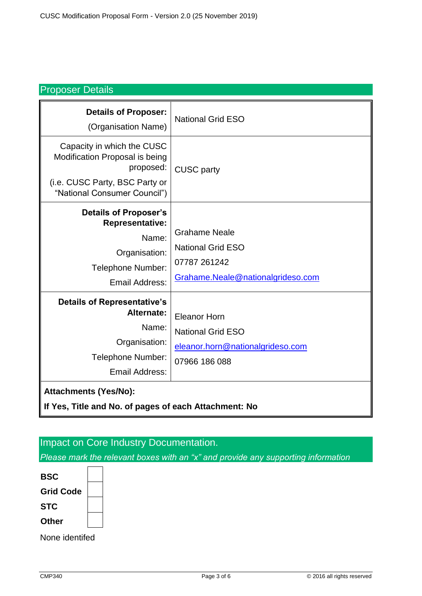| <b>Proposer Details</b>                                                                                                                     |                                                                                                       |  |  |  |
|---------------------------------------------------------------------------------------------------------------------------------------------|-------------------------------------------------------------------------------------------------------|--|--|--|
| <b>Details of Proposer:</b><br>(Organisation Name)                                                                                          | <b>National Grid ESO</b>                                                                              |  |  |  |
| Capacity in which the CUSC<br>Modification Proposal is being<br>proposed:<br>(i.e. CUSC Party, BSC Party or<br>"National Consumer Council") | <b>CUSC</b> party                                                                                     |  |  |  |
| <b>Details of Proposer's</b><br><b>Representative:</b><br>Name:<br>Organisation:<br>Telephone Number:<br><b>Email Address:</b>              | <b>Grahame Neale</b><br><b>National Grid ESO</b><br>07787 261242<br>Grahame.Neale@nationalgrideso.com |  |  |  |
| <b>Details of Representative's</b><br>Alternate:<br>Name:<br>Organisation:<br>Telephone Number:<br>Email Address:                           | <b>Eleanor Horn</b><br><b>National Grid ESO</b><br>eleanor.horn@nationalgrideso.com<br>07966 186 088  |  |  |  |
| <b>Attachments (Yes/No):</b>                                                                                                                |                                                                                                       |  |  |  |

**If Yes, Title and No. of pages of each Attachment: No**

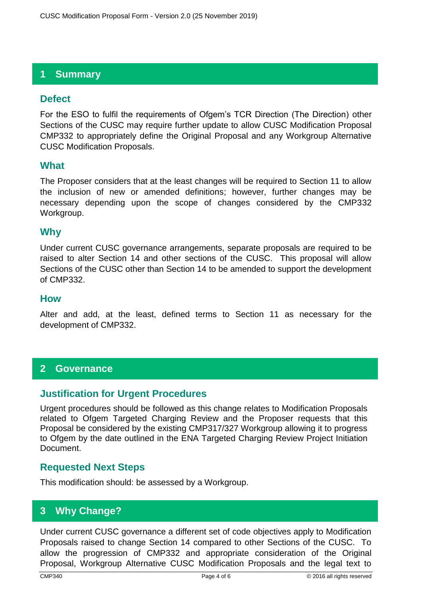# **1 Summary**

# **Defect**

For the ESO to fulfil the requirements of Ofgem's TCR Direction (The Direction) other Sections of the CUSC may require further update to allow CUSC Modification Proposal CMP332 to appropriately define the Original Proposal and any Workgroup Alternative CUSC Modification Proposals.

#### **What**

The Proposer considers that at the least changes will be required to Section 11 to allow the inclusion of new or amended definitions; however, further changes may be necessary depending upon the scope of changes considered by the CMP332 Workgroup.

## **Why**

Under current CUSC governance arrangements, separate proposals are required to be raised to alter Section 14 and other sections of the CUSC. This proposal will allow Sections of the CUSC other than Section 14 to be amended to support the development of CMP332.

#### **How**

Alter and add, at the least, defined terms to Section 11 as necessary for the development of CMP332.

## **2 Governance**

## **Justification for Urgent Procedures**

Urgent procedures should be followed as this change relates to Modification Proposals related to Ofgem Targeted Charging Review and the Proposer requests that this Proposal be considered by the existing CMP317/327 Workgroup allowing it to progress to Ofgem by the date outlined in the ENA Targeted Charging Review Project Initiation Document.

#### **Requested Next Steps**

This modification should: be assessed by a Workgroup.

## **3 Why Change?**

Under current CUSC governance a different set of code objectives apply to Modification Proposals raised to change Section 14 compared to other Sections of the CUSC. To allow the progression of CMP332 and appropriate consideration of the Original Proposal, Workgroup Alternative CUSC Modification Proposals and the legal text to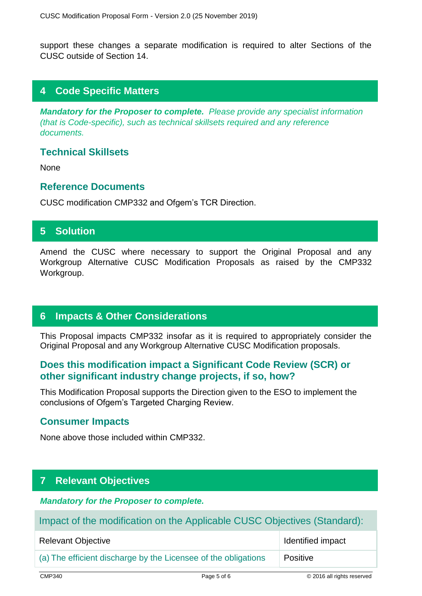support these changes a separate modification is required to alter Sections of the CUSC outside of Section 14.

# **4 Code Specific Matters**

*Mandatory for the Proposer to complete. Please provide any specialist information (that is Code-specific), such as technical skillsets required and any reference documents.*

## **Technical Skillsets**

**None** 

#### **Reference Documents**

CUSC modification CMP332 and Ofgem's TCR Direction.

# **5 Solution**

Amend the CUSC where necessary to support the Original Proposal and any Workgroup Alternative CUSC Modification Proposals as raised by the CMP332 Workgroup.

## **6 Impacts & Other Considerations**

This Proposal impacts CMP332 insofar as it is required to appropriately consider the Original Proposal and any Workgroup Alternative CUSC Modification proposals.

## **Does this modification impact a Significant Code Review (SCR) or other significant industry change projects, if so, how?**

This Modification Proposal supports the Direction given to the ESO to implement the conclusions of Ofgem's Targeted Charging Review.

#### **Consumer Impacts**

None above those included within CMP332.

# **7 Relevant Objectives**

#### *Mandatory for the Proposer to complete.*

Impact of the modification on the Applicable CUSC Objectives (Standard):

| <b>Relevant Objective</b>                                      | Identified impact |
|----------------------------------------------------------------|-------------------|
| (a) The efficient discharge by the Licensee of the obligations | Positive          |